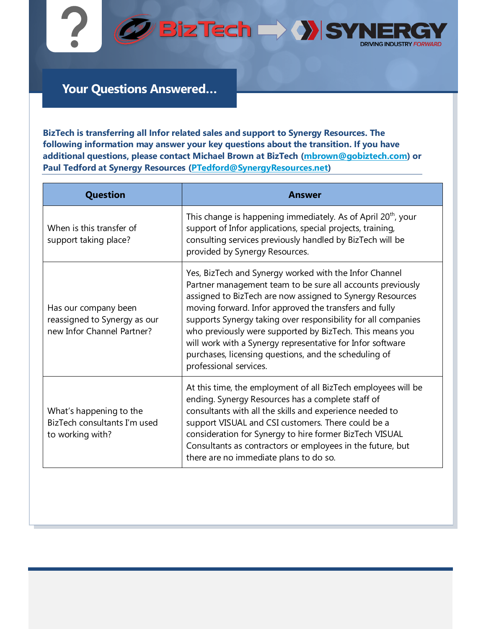

**@BizTech DAY SYN DRIVING INDUSTRY FORWARD** 

## **Your Questions Answered…**

**BizTech is transferring all Infor related sales and support to Synergy Resources. The following information may answer your key questions about the transition. If you have additional questions, please contact Michael Brown at BizTech [\(mbrown@gobiztech.com\)](mailto:mbrown@gobiztech.com) or Paul Tedford at Synergy Resources [\(PTedford@SynergyResources.net\)](mailto:PTedford@SynergyResources.net)**

| <b>Question</b>                                                                    | Answer                                                                                                                                                                                                                                                                                                                                                                                                                                                                                                                    |
|------------------------------------------------------------------------------------|---------------------------------------------------------------------------------------------------------------------------------------------------------------------------------------------------------------------------------------------------------------------------------------------------------------------------------------------------------------------------------------------------------------------------------------------------------------------------------------------------------------------------|
| When is this transfer of<br>support taking place?                                  | This change is happening immediately. As of April 20 <sup>th</sup> , your<br>support of Infor applications, special projects, training,<br>consulting services previously handled by BizTech will be<br>provided by Synergy Resources.                                                                                                                                                                                                                                                                                    |
| Has our company been<br>reassigned to Synergy as our<br>new Infor Channel Partner? | Yes, BizTech and Synergy worked with the Infor Channel<br>Partner management team to be sure all accounts previously<br>assigned to BizTech are now assigned to Synergy Resources<br>moving forward. Infor approved the transfers and fully<br>supports Synergy taking over responsibility for all companies<br>who previously were supported by BizTech. This means you<br>will work with a Synergy representative for Infor software<br>purchases, licensing questions, and the scheduling of<br>professional services. |
| What's happening to the<br>BizTech consultants I'm used<br>to working with?        | At this time, the employment of all BizTech employees will be<br>ending. Synergy Resources has a complete staff of<br>consultants with all the skills and experience needed to<br>support VISUAL and CSI customers. There could be a<br>consideration for Synergy to hire former BizTech VISUAL<br>Consultants as contractors or employees in the future, but<br>there are no immediate plans to do so.                                                                                                                   |